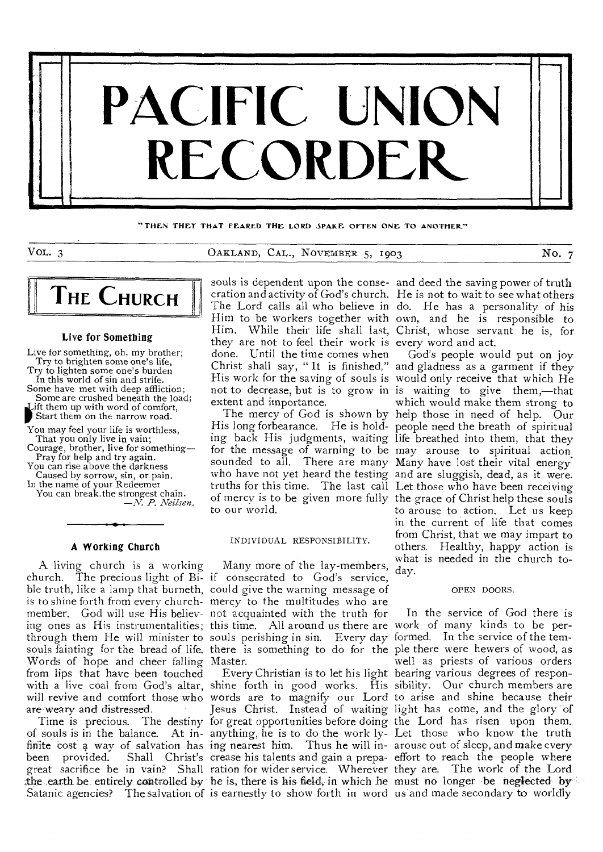

THEN THEY THAT FEARED THE LORD SPAKE OFTEN ONE TO ANOTHER"

VOL. 3 CAKLAND, CAL., NOVEMBER 5, 1903 NO. 7



#### Live for Something

Live for something, oh, my brother; Try to brighten some one's life, Try to lighten some one's burden

In this world of sin and strife. Some have met with deep affliction;

Some are crushed beneath the load<br>Lift them up with word of comfort,<br>Start them on the narrow road.<br>You may feel your life is worthless, Some are crushed beneath the load; ift them up with word of comfort, Start them on the narrow road.

That you only live in vain;

Courage, brother, live for something— Pray for help and try **again.** 

You can rise above the darkness Caused by sorrow, sin, or pain.

In the name of your Redeemer You can break.the strongest **chain.**  *—N. P. Neilsen,* 

#### **A** Working Church

A. living church is a working church. The precious light of Bi-if consecrated to God's service, ble truth, like a lamp that burneth, could give the warning message of is to shine forth from every church-mercy to the multitudes who are member. God will use His believ-not acquainted with the truth for ing ones as His instrumentalities; through them He will minister to souls fainting for the bread of life. there is something to do for the ple there were hewers of wood, as Words of hope and cheer falling Master. from lips that have been touched with a live coal from God's altar, shine forth in good works. His sibility. Our church members are will revive and comfort those who are weary and distressed.

Time is precious. The destiny of souls is in the balance. At infinite cost a way of salvation has been provided. Shall Christ's crease his talents and gain a prepa-effort to reach the people where great sacrifice be in vain? Shall ration for wider service. Wherever they are. The work of the Lord the earth be entirely controlled by he is, there is his field, in which he must no longer be neglected by

The Lord calls all who believe in Him to be workers together with they are not to feel their work is every word and act. done. Until the time comes when not to decrease, but is to grow in extent and importance.

sounded to all. There are many Many have lost their vital energy to our world.

#### INDIVIDUAL RESPONSIBILITY.

Many more of the lay-members, this time. All around us there are souls perishing in sin. Every day

words are to magnify our Lord Jesus Christ. Instead of waiting for great opportunities before doing anything, he is to do the work lying nearest him. Thus he will in-

souls is dependent upon the conse-and deed the saving power of truth cration and activity of God's church. He is not to wait to see what others Him. While their life shall last, Christ, whose servant he is, for do. He has a personality of his own, and he is responsible to

Christ shall say, " It is finished," and gladness as a garment if they His work for the saving of souls is would only receive that which He The mercy of God is shown by help those in need of help. Our His long forbearance. He is hold-people need the breath of spiritual ing back His judgments, waiting life breathed into them, that they for the message of warning to be may arouse to spiritual action. who have not yet heard the testing and are sluggish, dead, as it were. truths for this time. The last call Let those who have been receiving of mercy is to be given more fully the grace of Christ help these souls God's people would put on joy is waiting to give them,—that which would make them strong to to arouse to action. Let us keep in the current of life that comes from Christ, that we may impart to others. Healthy, happy action is what is needed in the church today.

## OPEN DOORS.

Satanic agencies? The salvation of is earnestly to show forth in word us and made secondary to worldly Every Christian is to let his light bearing various degrees of respon-In the service of God there is work of many kinds to be performed. In the service of the temwell as priests of various orders to arise and shine because their light has come, and the glory of the Lord has risen upon them. Let those who know the truth arouse out of sleep, and make every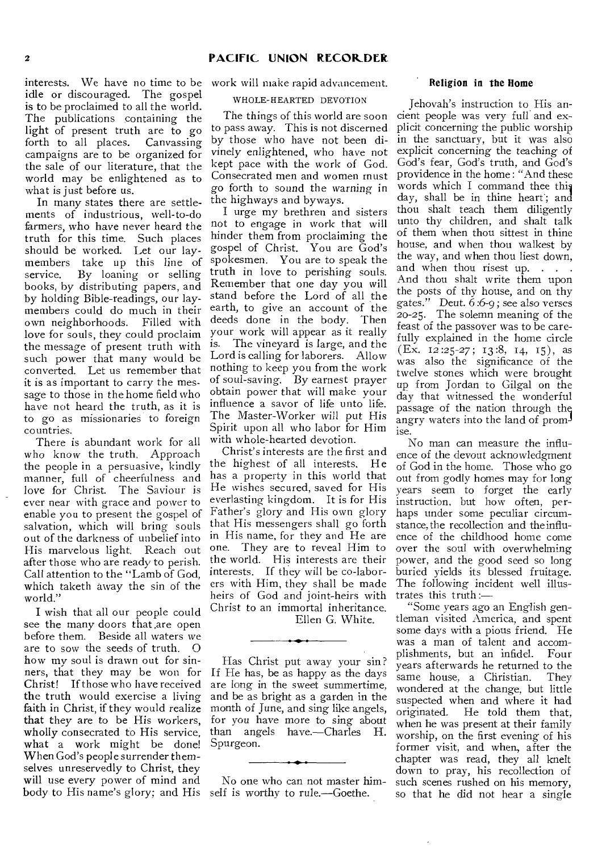interests. We have no time to be work will make rapid advancement. idle or discouraged. The gospel is to be proclaimed to all the world. The publications containing the light of present truth are to go forth to all places. Canvassing campaigns are to be organized for the sale of our literature, that the world may be enlightened as to what is just before us.

In many states there are settlements of industrious, well-to-do farmers, who have never heard the truth for this time. Such places should be worked. Let our laymembers take up this line of<br>service. By loaning or selling By loaning or selling books, by distributing papers, and by holding Bible-readings, our laymembers could do much in their own neighborhoods. Filled with love for souls, they could proclaim the message of present truth with such power that many would be converted. Let us remember that it is as important to carry the message to those in the home field who have not heard the truth, as it is to go as missionaries to foreign countries.

There is abundant work for all who know the truth. Approach the people in a persuasive, kindly manner, full of cheerfulness and love for Christ. The Saviour is ever near with grace and power to enable you to present the gospel of salvation, which will bring souls out of the darkness of unbelief into His marvelous light. Reach out after those who are ready to perish. Call attention to the "Lamb of God, which taketh away the sin of the world."

I wish that all our people could see the many doors that, are open before them. Beside all waters we are to sow the seeds of truth. 0 how my soul is drawn out for sinners, that they may be won for Christ! If those who have received the truth would exercise a living faith in Christ, if they would realize that they are to be His workers, wholly consecrated to His service, what a work might be done! When God's people surrender themselves unreservedly to Christ, they will use every power of mind and body to His name's glory; and His self is worthy to rule.—Goethe.

#### WHOLE-HEARTED DEVOTION

The things of this world are soon to pass away. This is not discerned by those who have not been divinely enlightened, who have not kept pace with the work of God. Consecrated men and women must go forth to sound the warning in the highways and byways.

I urge my brethren and sisters not to engage in work that will hinder them from proclaiming the gospel of Christ. You are God's spokesmen. You are to speak the truth in love to perishing souls. Remember that one day you will stand before the Lord of all the earth, to give an account of the deeds done in the body. Then your work will appear as it really is. The vineyard is large, and the Lord is calling for laborers. Allow nothing to keep you from the work of soul-saving. By earnest prayer obtain power that will make your influence a savor of life unto life. The Master-Worker will put His Spirit upon all who labor for Him with whole-hearted devotion.

Christ's interests are the first and the highest of all interests. He has a property in this world that He wishes secured, saved for His everlasting kingdom. It is for His Father's glory and His own glory that His messengers shall go forth in His name, for they and He are one. They are to reveal Him to the world. His interests are their interests. If they will be co-laborers with Him, they shall be made heirs of God and joint-heirs with Christ to an immortal inheritance.

Ellen G. White.

Has Christ put away your sin? If He has, be as happy as the days are long in the sweet summertime, and be as bright as a garden in the month of June, and sing like angels, for you have more to sing about than angels have.—Charles H. Spurgeon.

No one who can not master him-

#### Religion in the Home

Jehovah's instruction to His ancient people was very full and explicit concerning the public worship in the sanctuary, but it was also explicit concerning the teaching of God's fear, God's truth, and God's providence in the home : "And these words which I command thee this day, shall be in thine heart'; and thou shalt teach them diligently unto thy children, and shalt talk of them when thou sittest in thine house, and when thou walkest by the way, and when thou liest down, and when thou risest up. And thou shalt write them upon the posts of thy house, and on thy gates." Deut. 6:6-9; see also verses 20-25. The solemn meaning of the feast of the passover was to be carefully explained in the home circle  $(Ex. I2:25-27; I3:8, I4, I5)$ , as was also the significance of the twelve stones which were brought up from Jordan to Gilgal on the day that witnessed the wonderful passage of the nation through the) angry waters into the land of promise.

No man can measure the influence of the devout acknowledgment of God in the home. Those who go out from godly homes may for long years seem to forget the early instruction, but how often, perhaps under some peculiar circumstance, the recollection and the influence of the childhood home come over the soul with overwhelming power, and the good seed so long buried yields its blessed fruitage. The following incident well illustrates this truth :—

"Some years ago an English gentleman visited America, and spent some days with a pious friend. He was a man of talent and accomplishments, but an infidel. Four years afterwards he returned to the same house, a Christian. They wondered at the change, but little suspected when and where it had originated. He told them that, when he was present at their family worship, on the first evening of his former visit, and when, after the chapter was read, they all knelt down to pray, his recollection of such scenes rushed on his memory, so that he did not hear a single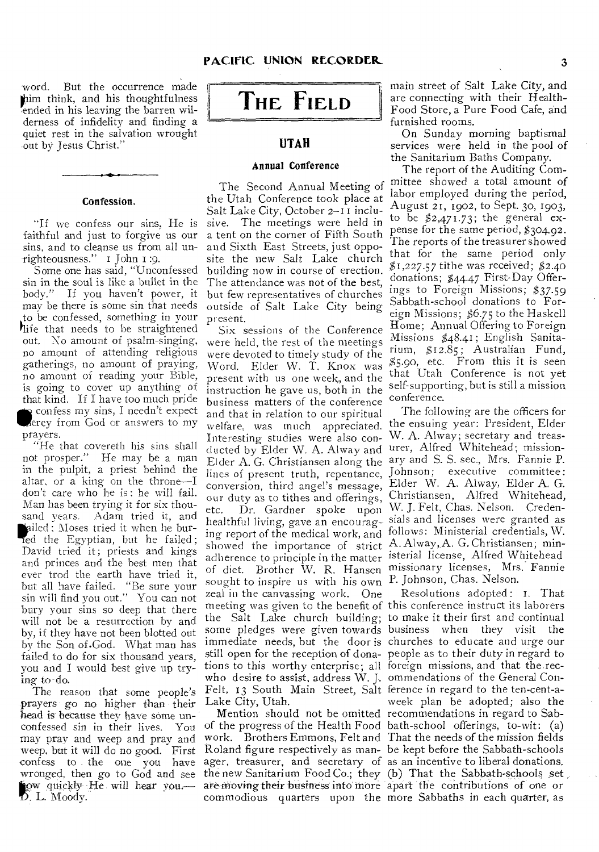word. But the occurrence made (him think, and his thoughtfulness ended in his leaving the barren wilderness of infidelity and finding a quiet rest in the salvation wrought out by Jesus Christ."

#### Confession.

"If we confess our sins, He is faithful and just to forgive us our sins, and to cleanse us from all unrighteousness." I John i :9.

Some one has said, "Unconfessed sin in the soul is like a bullet in the body." If you haven't power, it may be there is some sin that needs to be confessed, something in your life that needs to be straightened out. No amount of psalm-singing, no amount of attending religious gatherings, no amount of praying, no amount of reading your Bible, is going to cover up anything of that kind. If I have too much pride confess my sins, I needn't expect Wercy from God or answers to my prayers.

"He that covereth his sins shall not prosper." He may be a man in the pulpit, a priest behind the altar, or a king on the throne—I don't care who he is : he will fail. Man has been trying it for six thousand years. Adam tried it, and ailed ; Moses tried it when he buried the Egyptian, but he failed; David tried it; priests and kings and princes and the best men that ever trod the earth have tried it, but all have failed. "Be sure your sin will find you out." You can not bury your sins so deep that there will not be a resurrection by and by, if they have not been blotted out by the Son of.God. What man has failed, to do for six thousand years, you and I would best give up trying to do.

The reason that some people's prayers go no higher than their head is because they have some unconfessed sin in their lives. You may pray and weep and pray and weep, but it will do no good. First confess to the one you have ager, treasurer, and secretary of as an incentive to liberal donations. ow quickly He will hear you. D. L. Moody.



# **UTAH**

#### Annual Conference

The Second Annual Meeting of the Utah Conference took place at Salt Lake City, October 2-I I inclusive. The meetings were held in a tent on the corner of Fifth South and Sixth East Streets, just opposite the new Salt Lake church building now in course of erection. The attendance was not of the best, but few representatives of churches outside of Salt Lake City being present.

Six sessions of the Conference were held, the rest of the meetings were devoted to timely study of the Word. Elder W. T. Knox was present with us one week, and the instruction he gave us, both in the business matters of the conference and that in relation to our spiritual welfare, was much appreciated. Interesting studies were also conducted by Elder W. A. Alway and urer, Alfred Whitehead; missionlines of present truth, repentance, conversion, third angel's message, our duty as to tithes and offerings, etc. Dr. Gardner spoke upon adherence to principle in the matter isterial license, Alfred Whitehead sought to inspire us with his own P. Johnson, Chas. Nelson. zeal in the canvassing work. One tions to this worthy enterprise; all foreign missions, and that the recwho desire to assist, address W. J. ommendations of the General Con-Felt, 13 South Main Street, Salt ference in regard to the ten-cent-a-Lake City, Utah.

commodious quarters upon the more Sabbaths in each quarter, as

main street of Salt Lake City, and are connecting with their Health-Food Store, a Pure Food Cafe, and furnished rooms.

On Sunday morning baptismal services were held in the pool of the Sanitarium Baths Company.

The report of the Auditing Committee showed a total amount of labor employed during the period, August 21, 1902, to Sept. 30, 1903, to be  $$2,471.73$ ; the general expense for the same period, \$304.92. The reports of the treasurer showed that for the same period only \$1,227.57 tithe was received; \$2.40 donations; \$44.47 First-Day Offerings to Foreign Missions; \$37.59 Sabbath-school donations to Foreign Missions; \$6.75 to the Haskell Home; Annual Offering to Foreign Missions \$48.41; English Sanitarium, \$12.85; Australian Fund, \$5.90, etc. From this it is seen that Utah Conference is not yet self-supporting, but is still a mission conference.

Elder A. G. Christiansen along the ary and S. S. sec., Mrs. Fannie P. healthful living, gave an encourag-sials and licenses were granted as ing report of the medical work, and follows: Ministerial credentials, W. showed the importance of strict A. Alway, A. G. Christiansen; minof diet. Brother W. R. Hansen missionary licenses, Mrs. Fannie The following are the officers for the ensuing year: President, Elder W. A. Alway; secretary and treas-Johnson; executive committee: Elder W. A. Alway, Elder A. G. Christiansen, Alfred Whitehead, W. J. Felt, Chas. Nelson. Creden-

wronged, then go to God and see the new Sanitarium Food Co.; they (b) That the Sabbath-schools set meeting was given to the benefit of this conference instruct its laborers the Salt Lake church building; to make it their first and continual some pledges were given towards business when they visit the immediate needs, but the door is churches to educate and urge our still open for the reception of dona-people as to their duty in regard to Mention should not be omitted recommendations in regard to Sabof the progress of the Health Food bath-school offerings, to-wit: (a) work. Brothers Emmons, Felt and That the needs of the mission fields Roland figure respectively as man-be kept before the Sabbath-schools are moving their business into more apart the contributions of one or Resolutions adopted : T. That week plan be adopted; also the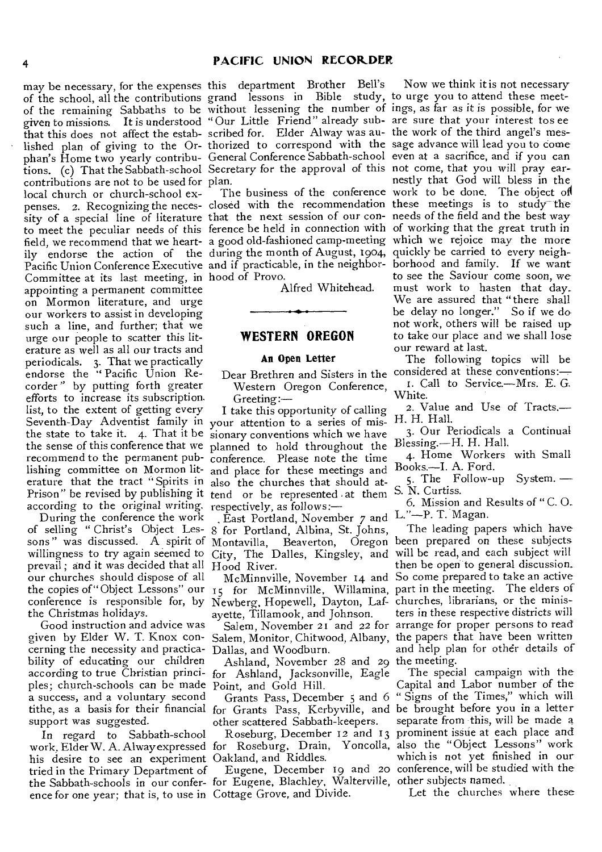of the school, all the contributions of the remaining Sabbaths to be given to missions. It is understood "Our Little Friend" already sub-are sure that your interest tos ee that this does not affect the estab-scribed for. Elder Alway was au-the work of the third angel's meslished plan of giving to the Or-thorized to correspond with the sage advance will lead you to come phan's Home two yearly contribu-General Conference Sabbath-school even at a sacrifice, and if you can tions. (c) That the Sabbath-school Secretary for the approval of this not come, that you will pray earcontributions are not to be used for plan. local church or church-school expenses. 2. Recognizing the neces- closed with the recommendation these meetings is to study the sity of a special line of literature that the next session of our con-needs of the field and the best way to meet the peculiar needs of this ference be held in connection with of working that the great truth in field, we recommend that we heart- a good old-fashioned camp-meeting which we rejoice may the more ily endorse the action of the during the month of August, 1904, Pacific Union Conference Executive and if practicable, in the neighbor-Committee at its last meeting, in hood of Provo. appointing a permanent committee on Mormon literature, and urge our workers to assist in developing such a line, and further; that we urge our people to scatter this literature as well as all our tracts and periodicals. 3. That we practically endorse the "Pacific Union Recorder" by putting forth greater efforts to increase its subscription. list, to the extent of getting every Seventh-Day Adventist family in your attention to a series of mis-H. H. Hall. the state to take it. 4. That it be sionary conventions which we have the sense of this conference that we planned to hold throughout the *Blessing.—H.* H. Hall. recommend to the permanent pub-conference. Please note the time lishing committee on Mormon lit-and place for these meetings and erature that the tract "Spirits in also the churches that should at-Prison" be revised by publishing it tend or be represented at them according to the original *writing.*  respectively, as follows:—

During the conference the work prevail ; and it was decided that all our churches should dispose of all the Christmas holidays.

Good instruction and advice was given by Elder W. T. Knox concerning the necessity and practica-Dallas, and Woodburn. bility of educating our children ples; church-schools can be made Point, and Gold Hill. a success, and a voluntary second support was suggested.

In regard to Sabbath-school work. Elder W. A. Alway expressed for Roseburg, Drain, Yoncolla, also the "Object Lessons" work his desire to see an experiment Oakland, and Riddles. tried in the Primary Department of the Sabbath-schools in our confer-for Eugene, Blachley, Walterville, other subjects named. ence for one year; that is, to use in Cottage Grove, and Divide.

may be necessary, for the expenses this department Brother Bell's grand lessons in Bible study, without lessening the number of

Alfred Whitehead.

## **WESTERN OREGON**

## An Open Letter

Western Oregon Conference,  $Greeting:$ 

I take this opportunity of calling

of selling " Christ's Object Les-8 for Portland, Albina, St. Johns, willingness to try again seemed to City, The Dalles, Kingsley, and will be read, and each subject will East Portland, November  $\gamma$  and L."-P. T. Magan. Hood River.

conference is responsible for, by Newberg, Hopewell, Dayton, Laf-churches, librarians, or the minisayette, Tillamook, and Johnson.

according to true Christian princi-for Ashland, Jacksonville, Eagle Ashland, November 28 and 29 the meeting.

other scattered Sabbath-keepers.

The business of the conference work to be done. The object of Now we think it is not necessary to urge you to attend these meetings, as far as it is possible, for we nestly that God will bless in the quickly be carried to every neighborhood and family. If we want to see the Saviour come soon, we must work to hasten that day. We are assured that "there shall be delay no longer." So if we do not work, others will be raised up to take our place and we shall lose our reward at last.

Dear Brethren and Sisters in the considered at these conventions:-The following topics will be I. Call to Service.—Mrs. E. G.

White. 2. Value and Use of Tracts.—

3. Our Periodicals a Continual

4. Home Workers with Small Books.—I. A. Ford.

5. The Follow-up System. — S. N. Curtiss.

6. Mission and Results of " C. 0.

sons" was discussed. A spirit of Montavilla, Beaverton, Oregon been prepared on these subjects the copies of "Object Lessons" our 15 for McMinnville, Willamina, part in the meeting. The elders of McMinnville, November 14 and So come prepared to take an active Salem, November 21 and 22 for arrange for proper persons to read Salem, Monitor, Chitwood, Albany, the papers that have been written The leading papers which have then be open to general discussion. ters in these respective districts will and help plan for other details of

tithe, as a basis for their financial for Grants Pass, Kerbyville, and be brought before you in a letter Grants Pass, December 5 and 6 " Signs of the Times," which will Roseburg, December 12 and 13 prominent issue at each place and Eugene, December 19 and 20 conference, will be studied with the The special campaign with the Capital and Labor number of the separate from this, will be made a which is not yet finished in our

Let the churches where these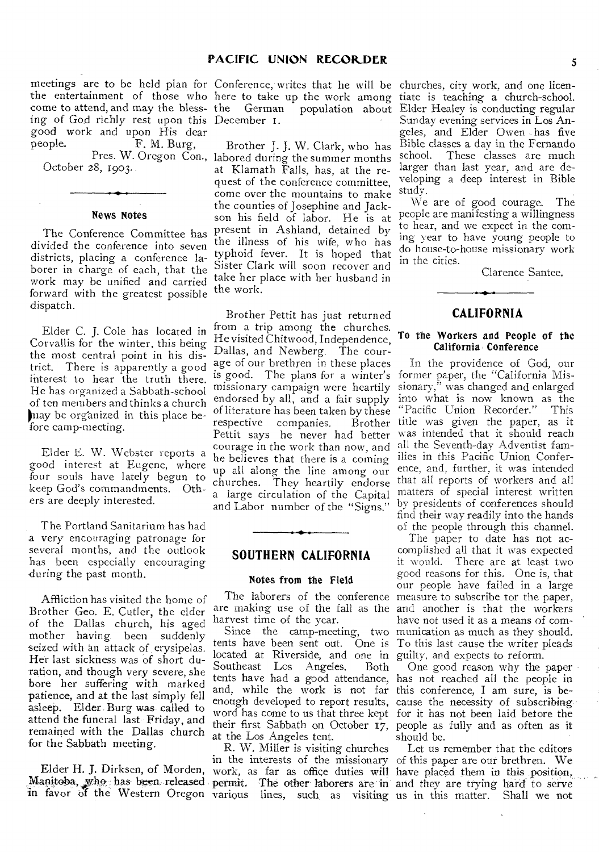meetings are to be held plan for Conference, writes that he will be churches, city work, and one licenthe entertainment of those who here to take up the work among come to attend, and may the bless- the German population about ing of God richly rest upon this December 1. good work and upon His dear<br>people. F. M. Burg, F. M. Burg,

October 28, 1903.

#### News Notes

The Conference Committee has divided the conference into seven districts, placing a conference laborer in charge of each, that the work may be unified and carried forward with the greatest possible dispatch.

Elder C. J. Cole has located in Corvallis for the winter, this being the most central point in his district. There is apparently a good interest to hear the truth there. He has organized a Sabbath-school of ten members and thinks a church may be organized in this place before camp-meeting.

Elder E. W. Webster reports a good interest at Eugene, where four souls have lately begun to keep God's commandments. Others are deeply interested.

The Portland Sanitarium has had a very encouraging patronage for several months, and the outlook has been especially encouraging during the past month.

Affliction has visited the home of Brother Geo. E. Cutler, the elder of the Dallas church, his aged mother having been suddenly seized with an attack of, erysipelas. Her last sickness was of short duration, and though very severe, she bore her suffering with marked patience, and at the last simply fell asleep. Elder. Burg was called to attend the funeral last Friday, and remained with the Dallas church for the Sabbath meeting.

Manitoba, who: has been released. in favor of the Western Oregon

Pres. W. Oregon Con., labored during the summer months Brother J. J. W. Clark, who has at Klamath Falls, has, at the request of the conference committee, come over the mountains to make the counties of Josephine and Jackson his field of labor. He is at present in Ashland, detained by the illness of his wife, who has typhoid fever. It is hoped that Sister Clark will soon recover and take her place with her husband in the work.

> Brother Pettit has just returned from a trip among the churches. He visited Chitwood, Independence, Dallas, and Newberg. The courage of our brethren in these places is good. The plans for a winter's missionary campaign were heartily endorsed by all, and a fair supply of literature has been taken by these respective companies. Pettit says he never had better courage in the work than now, and all the Seventh-day Adventist famhe believes that there is a coming up all along the line among our churches. They heartily endorse a large circulation of the Capital and Labor number of the "Signs."

## **SOUTHERN CALIFORNIA**

#### Notes from the Field

harvest time of the year.

located at Riverside, and one in guilty, and expects to reform. Southeast Los Angeles. Both and, while the work is not far this conference, I am sure, is beat the Los Angeles tent.

R. W. Miller is visiting churches permit. The other laborers are in various lines, such as visiting

tiate is teaching a church-school. Elder Healey is conducting regular Sunday evening services in Los Angeles, and Elder Owen has five Bible classes a day in the Fernando school. These classes are much larger than last year, and are developing a deep interest in Bible study.

We are of good courage. The people are manifesting a willingness to hear, and we expect in the coming year to have young people to do house-to-house missionary work in the cities.

Clarence Santee.

## **CALIFORNIA**

## To the Workers and People of the California Conference

In the providence of God, our former paper, the "California Missionary," was changed and enlarged into what is now known as the "Pacific Union Recorder." This "Pacific Union Recorder." Brother title was given the paper, as it was intended that it should reach ilies in this Pacific Union Conference, and, further, it was intended that all reports of workers and all matters of special interest written by presidents of conferences should find their way readily into the hands of the people through this channel.

The laborers of the conference measure to subscribe tor the paper, are making use of the fall as the and another is that the workers Since the camp-meeting, two munication as much as they should. tents have been sent out. One is To this last cause the writer pleads The paper to date has not accomplished all that it was expected it would. There are at least two good reasons for this. One is, that our people have failed in a large have not used it as a means of com-

tents have had a good attendance, has not reached all the people in enough developed to report results, cause the necessity of subscribing• word has come to us that three kept for it has not been laid before the their first Sabbath on October 17, people as fully and as often as it One good reason why the paper should be.

Elder H. J. Dirksen, of Morden, work, as far as office duties will have placed them in this position, in the interests of the missionary of this paper are our brethren. We Let us remember that the editors and they are trying hard to serve us in this matter. Shall we not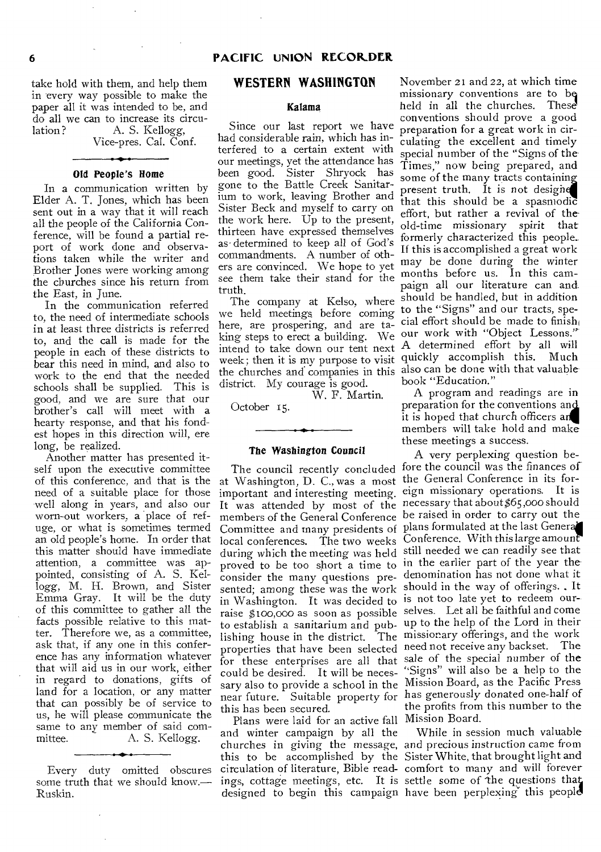take hold with them, and help them in every way possible to make the paper all it was intended to be, and do all we can to increase its circulation? A. S. Kellogg,

Vice-pres. Cal. Conf.

#### Old People's Home

In a communication written by Elder A. T. Jones, which has been sent out in a way that it will reach all the people of the California Conference, will be found a partial report of work done and observations taken while the writer and Brother Jones were working among the cburches since his return from the East, in June.

In the communication referred to, the need of intermediate schools in at least three districts is referred to, and the call is made for the people in each of these districts to bear this need in mind, and also to work to the end that the needed schools shall be supplied. This is good, and we are sure that our brother's call will meet with a hearty response, and that his fondest hopes in this direction will, ere long, be realized.

Another matter has presented itself upon the executive committee of this conference, and that is the need of a suitable place for those well along in years, and also our worn-out workers, a place of refuge, or what is sometimes termed an old people's home. In order that this matter should have immediate attention, a committee was appointed, consisting of A. S. Kellogg, M. H. Brown, and Sister Emma Gray. It will be the duty of this committee to gather all the facts possible relative to this matter. Therefore we, as a committee, ask that, if any one in this conference has any information whatever that will aid us in our work, either in regard to donations, gifts of land for a location, or any matter that can possibly be of service to us, he will please communicate the same to any member of said com-<br>mittee. A. S. Kellogg. A. S. Kellogg.

Every duty omitted obscures some truth that we should know.— Ruskin.

## **WESTERN WASHINGTON**

#### Kalama

Since our last report we have had considerable rain, which has interfered to a certain extent with our meetings, yet the attendance has been good. Sister Shryock has gone to the Battle Creek Sanitarium to work, leaving Brother and Sister Beck and myself to carry on the work here. Up to the present, thirteen have expressed themselves as- determined to keep all of God's commandments. A number of others are convinced. We hope to yet see them take their stand for the truth.

The company at Kelso, where we held meetings before coming here, are prospering, and are tadistrict. My courage is good.

W. F. Martin.

October 15.

#### The Washington Council

at Washington, D. C., was a most the General Conference in its forimportant and interesting meeting. lishing house in the district. could be desired. It will be necesthis has been secured.

Plans were laid for an active fall Mission Board. and winter campaign by all the churches in *giving* the message, and precious instruction came from circulation of literature, Bible read-comfort to many and will forever ings, cottage meetings, etc. It is settle some of the questions that designed to begin this campaign have been perplexing this people

king steps to erect a building. We our work with "Object Lessons." intend to take down our tent next A determined effort by all will med to take down our tent next<br>week; then it is my purpose to visit quickly accomplish this. Much the churches and companies in this also can be done with that valuable November 21 and 22, at which time missionary conventions are to bq held in all the churches. These' conventions should prove a good preparation for a great work in circulating the excellent and timely special number of the "Signs of the Times," now being prepared, and some of the many tracts containin present truth. It is not designe that this should be a spasmodic effort, but rather a revival of theold-time missionary spirit that formerly characterized this people. If this is accomplished a great work may be done during the winter months before us. In this campaign all our literature can and should be handled, but in addition to the "Signs" and our tracts, special effort should be made to finish book "Education."

> A program and readings are in preparation for the conventions an it is hoped that church officers a members will take hold and make these meetings a success.

The council recently concluded fore the council was the finances of It was attended by most of the necessary that about \$65,000 should members of the General Conference be raised in order to carry out the Committee and many presidents of plans formulated at the last General **COMMEDITE CHE THIS PRESENT OF STATE CONFERENCE.** With this large amount during which the meeting was held still needed we can readily see that proved to be too short a time to in the earlier part of the year the consider the many questions pre-denomination has not done what it sented; among these was the work should in the way of offerings. It in Washington. It was decided to is not too late yet to redeem our- raise \$ too,000 as soon as possible selves. Let all be faithful and come to establish a sanitarium and pub-up to the help of the Lord in their properties that have been selected need not receive any backset. The for these enterprises are all that sale of the special number of the sary also to provide a school in the Mission Board, as the Pacific Press near future. Suitable property for has generously donated one-half of A very perplexing question beeign missionary operations. It is  $\mathbf{m}_{\text{head}}$  missionary offerings, and the work "Signs" will also be a help to the the profits from this number to the

this to be accomplished by the Sister White, that brought light and While in session much valuable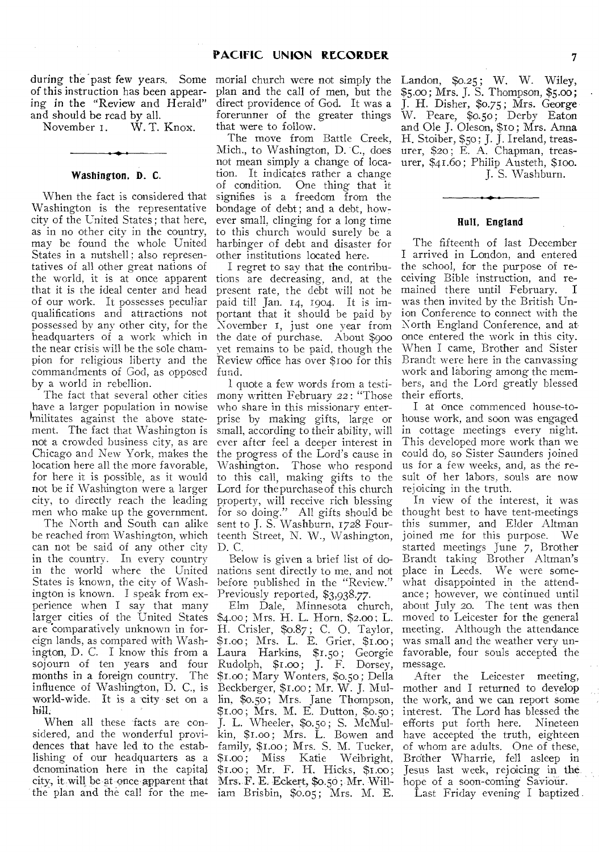during the past few years. Some of this instruction has been appearing in the "Review and Herald" and should be read by all.<br>November 1. W.T.

 $\label{eq:2.1} \mathcal{L}^{\mathcal{A}}(\mathcal{A}) = \mathcal{L}^{\mathcal{A}}(\mathcal{A}) = \mathcal{L}^{\mathcal{A}}(\mathcal{A})$ 

 $W.$  T. Knox.

#### Washington, D. C.

When the fact is considered that Washington is the representative city of the United States ; that here, as in no other city in the country, may be found the whole United States in a nutshell; also representatives of all other great nations of the world, it is at once apparent that it is the ideal center and head of our work. It possesses peculiar qualifications and attractions not possessed by any other city, for the headquarters of a work which in the near crisis will be the sole champion for religious liberty and the commandments of God, as opposed by a world in rebellion.

The fact that several other cities have a larger population in nowise militates against the above statement. The fact that Washington is not a crowded business city, as are Chicago and New York, makes the location here all the more favorable, for here it is possible, as it would not be if Washington were a larger city, to directly reach the leading men who make up the government.

The North and South can alike be reached from Washington, which can not be said of any other city in the country. In every country in the world where the United States is known, the city of Washington is known. I speak from experience when I say that many larger cities of the United States are 'comparatively unknown in foreign lands, as compared with Washington, D. C. I know this from a sojourn of ten years and four months in a foreign country. The influence of Washington, D. C., is world-wide. It is a city set on a hill.

When all these facts are considered, and the wonderful providences that have led to the establishing of our headquarters as a denomination here in the capital city, it .will be at 9nce apparent that the plan and the call for the me-

morial church were not simply the plan and the call of men, but the direct providence of God. It was a forerunner of the greater things that were to follow.

The move from Battle Creek, Mich., to Washington, D. C., does not mean simply a change of location. It indicates rather a change of condition. One thing that it signifies is a freedom from the bondage of debt ; and a debt, however small, clinging for a long time to this church would surely be a harbinger of debt and disaster for other institutions located here.

I regret to say that the contributions are decreasing, and, at the present rate, the debt will not be paid till Jan. 14, 1904. It is important that it should be paid by November 1, just one year from the date of purchase. About \$900 yet remains to be paid, though the Review office has over \$1oo for this fund.

1 quote a few words from a testimony written February 22: "Those who share in this missionary enterprise by making gifts, large or small, according to their ability, will ever after feel a deeper interest in the progress of the Lord's cause in Washington. Those who respond to this call, making gifts to the Lord for the purchase of this church property, will receive rich blessing for so doing." All gifts should be sent to J. S. Washburn, 1728 Fourteenth Street, N. W., Washington, D. C.

Below is given a brief list of donations sent directly to me, and not before published in the "Review." Previously reported, \$3,938.77.

Elm Dale, Minnesota church, \$4.00 ; Mrs. H. L. Horn, \$2.00 ; L. H. Crisler, \$0.87 ; C. 0. Taylor, \$1.00; Mrs. L. E. Grier, \$1.00; Laura Harkins, \$1.50 ; Georgie Rudolph, \$1.00; J. F. Dorsey, Si.00 ; Mary Wonters, \$0.50; Della Beckberger, \$1.00; Mr. W. J. Mullin, \$0.50 ; Mrs. Jane Thompson, \$1.00 ; Mrs. M. E. Dutton, \$0.50 ; J. L. Wheeler, \$0.50 ; S. McMulkin, \$1.00; Mrs. L. Bowen and family, \$1.00; Mrs. S. M. Tucker, \$i.00; Miss Katie Weibright, \$1.00; Mr. F. H. Hicks, \$1.00; Mrs. F. E. Eckert, \$0.50; Mr. William Brisbin, \$0.05; Mrs. M. E.

Landon, \$0.25; W. W. Wiley, \$5.00; Mrs. J. S. Thompson, \$5.00; J. H. Disher, \$0.75 ; Mrs. George W. Peare, \$0.50; Derby Eaton and Ole J. Oleson, \$10; Mrs. Anna H. Stoiber, \$50 ; J. J. Ireland, treasurer, \$20 ; E. A. Chapman, treasurer, \$41.60; Philip Austeth, \$100. J. S. Washburn.

## Hull, England

The fifteenth of last December I arrived in London, and entered the school, for the purpose of receiving Bible instruction, and remained there until February. I was then invited by the British Union Conference to connect with the North England Conference, and at, once entered the work in this city. When I came, Brother and Sister Brandt were here in the canvassing work and laboring among the members, and the Lord greatly blessed their efforts.

I at once commenced house-tohouse work, and soon was engaged in cottage meetings every night. This developed more work than we could do, so Sister Saunders joined us for a few weeks, and, as the result of her labors, souls are now rejoicing in the truth.

In view of the interest, it was thought best to have tent-meetings this summer, and Elder Altman<br>joined me for this purpose. We joined me for this purpose. started meetings June 7, Brother Brandt taking Brother Altman's place in Leeds. We were somewhat disappointed in the attendance; however, we continued until about July 20. The tent was then moved to Leicester for the general meeting. Although the attendance was small and the weather very unfavorable, four souls accepted the message.

After the Leicester meeting, mother and I returned to develop the work, and we can report some interest. The Lord has blessed the efforts put forth here. Nineteen have accepted the truth, eighteen of whom are adults. One of these, Brother Wharrie, fell asleep in Jesus last week, rejoicing in the hope of a soon-coming Saviour.

Last Friday evening I baptized .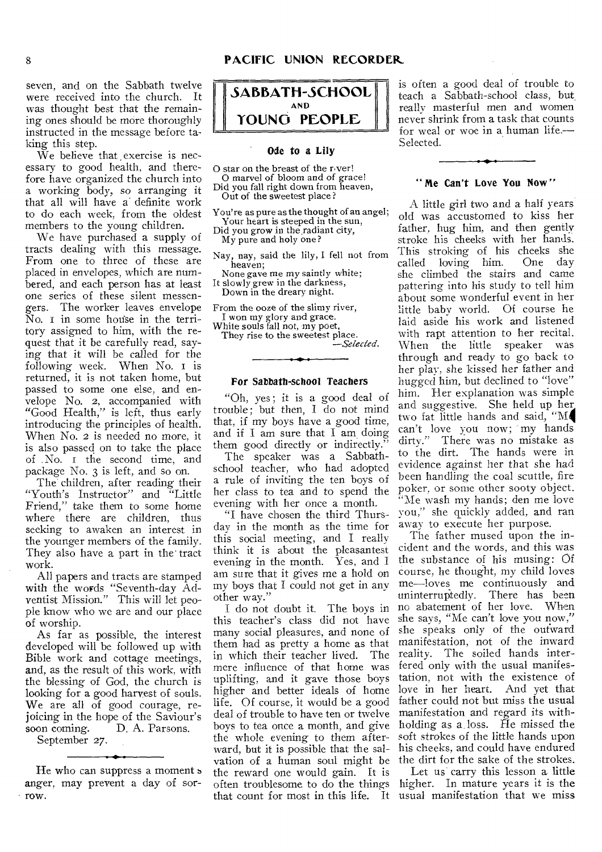seven, and on the Sabbath twelve were received into the church. It was thought best that the remaining ones should be more thoroughly instructed in the message before taking this step.

We believe that exercise is necessary to good health, and therefore have organized the church into a working body, so arranging it that all will have a definite work to do each week, from the oldest members to the young children.

We have purchased a supply of tracts dealing with this message. From one to three of these are placed in envelopes, which are numbered, and each person has at least one series of these silent messengers. The worker leaves envelope No. i in some house in the territory assigned to him, with the request that it be carefully read, saying that it will be called for the following week. When No. i is returned, it is not taken home, but passed to some one else, and envelope No. 2, accompanied with "Good Health," is left, thus early introducing the principles of health. When No. 2 is needed no more, it is also passed on to take the place of No. i the second time, and package No. 3 is left, and so on.

The children, after reading their "Youth's Instructor" and "Little Friend," take them to some home where there are children, thus seeking to awaken an interest in the younger members of the family. They also have a part in the' tract work.

All papers and tracts are stamped with the words "Seventh-day Adventist Mission." This will let people know who we are and our place of worship.

As far as possible, the interest developed will be followed up with Bible work and cottage meetings, and, as the result of this work, with the blessing of God, the church is looking for a good harvest of souls. We are all of good courage, rejoicing in the hope of the Saviour's<br>soon coming. D. A. Parsons. D. A. Parsons.

September 27.

He who can suppress a moment s anger, may prevent a day of sorrow.



#### **Ode to a Lily**

0 star on the breast of the r.ver! O marvel of bloom and of grace!

Did you fall right down from heaven, Out of the sweetest place?

You're as pure as the thought of an angel; Your heart is steeped in the sun, Did you grow in the radiant city,

My pure and holy one?

Nay, nay, said the lily, I fell not from heaven;

None gave me my saintly white; It slowly grew in the darkness, Down in the dreary night.

From the ooze of the slimy river, I won my glory and grace. White souls fall not, my poet,

They rise to the sweetest place. *—Selected.* 

#### For Sabbath-school Teachers

"Oh, yes; it is a good deal of trouble; but then, I do not mind that, if my boys have a good time, and if I am sure that I am doing them good directly or indirectly."

The speaker was a Sabbathschool teacher, who had adopted a rule of inviting the ten boys of her class to tea and to spend the evening with her once a month.

"I have chosen the third Thursday in the month as the time for this social meeting, and I really think it is about the pleasantest evening in the month. Yes, and I am sure that it *gives* me a hold on my boys that I could not get in any other way."

I do not doubt it. The boys in this teacher's class did not have many social pleasures, and none of them had as pretty a home as that in which their teacher lived. The mere influence of that home was uplifting, and it gave those boys higher and better ideals of home life. Of course, it would be a good deal of trouble to have ten or twelve boys to tea once a month, and give the whole evening to them afterward, but it is possible that the salvation of a human soul might be the dirt for the sake of the strokes. the reward one would gain. It is often troublesome to do the things higher. In mature years it is the that count for most in this life. It usual manifestation that we miss

is often a good deal of trouble to teach a Sabbath-school class, but really masterful men and women never shrink from a task that counts for weal or woe in a human life.— Selected.

#### **"Me Can't Love You Now"**

A little girl two and a half years old was accustomed to kiss her father, hug him, and then gently stroke his cheeks with her hands. This stroking of his cheeks she called loving him. One day she climbed the stairs and came pattering into his study to tell him about some wonderful event in her little baby world. Of course he laid aside his work and listened with rapt attention to her recital. When the little speaker was through and ready to go back to her play, she kissed her father and hugged him, but declined to "love" him. Her explanation was simple and suggestive. She held up her two fat little hands and said, "M4 can't love you now; 'my hands dirty." There was no mistake as to the dirt. The hands were in evidence against her that she had been handling the coal scuttle, fire poker, or some other sooty object. "Me wash my hands; den me love you," she quickly added, and ran away to execute her purpose.

The father mused upon the incident and the words, and this was the substance of his musing: Of course, he thought, my child loves me—loves me continuously and<br>uninterruptedly. There has been There has been no abatement of her love. When she says, "Me can't love you now," she speaks only of the outward manifestation, not of the inward reality. The soiled hands interfered only with the usual manifestation, not with the existence of love in her heart. And yet that father could not but miss the usual manifestation and regard its withholding as a loss. He missed the soft strokes of the little hands upon his cheeks, and could have endured

Let us' carry this lesson a little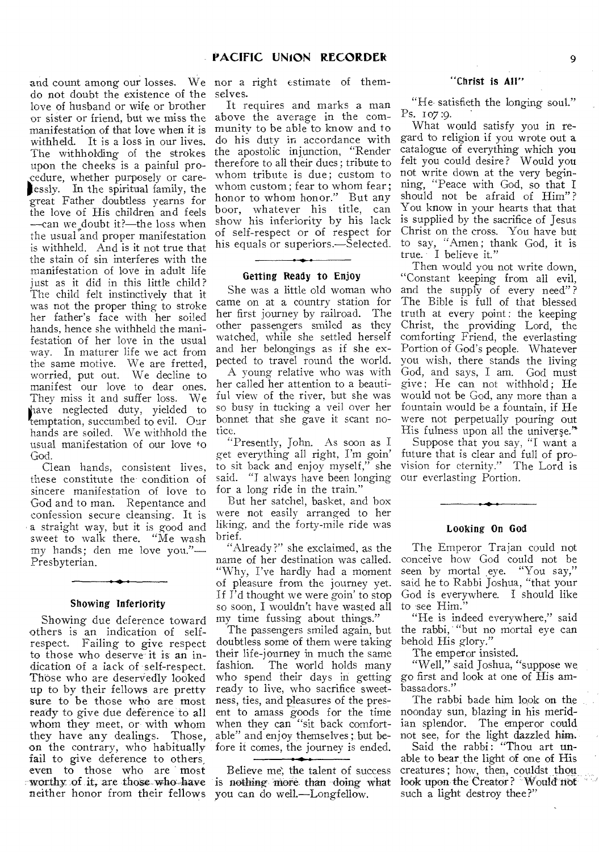do not doubt the existence of the love of husband or wife or brother or sister or friend, but we miss the manifestation of that love when it is withheld. It is a loss in our lives. The withholding of the strokes upon the cheeks is a painful procedure, whether purposely or carelessly. In the spiritual family, the great Father doubtless yearns for the love of His children and feels —can we doubt it?—the loss when the usual and proper manifestation is withheld. And is it not true that the stain of sin interferes with the manifestation of love in adult life just as it did in this little child? The child felt instinctively that it was not the proper thing to stroke her father's face with her soiled hands, hence she withheld the manifestation of her love in the usual way. In maturer life we act from the same motive. We are fretted, worried, put out. We decline to manifest our love to dear ones. They miss it and suffer loss. We lave neglected duty, yielded to temptation, succumbed to evil. Our hands are soiled. We withhold the usual manifestation of our love to God.

Clean hands, consistent lives, these constitute the condition of sincere manifestation of love to God and to man. Repentance and confession secure cleansing. It is a straight way, but it is good and sweet to walk there. "Me wash my hands; den me love you."— Presbyterian.

#### Showing Inferiority

Showing due deference toward others is an indication of selfrespect. Failing to give respect to those who deserve it is an indication of a lack of self-respect. Those who are deservedly looked up to by their fellows are pretty sure to be those who are most ready to give due deference to all whom they meet, or with whom they have any dealings. Those, on the contrary, who habitually fail to give deference to others, even to those who are most worthy of it, are those who have neither honor from their fellows

and count among our losses. We nor a right estimate of themselves.

> It requires and marks a man above the average in the community to be able to know and to do his duty in accordance with the apostolic injunction, "Render therefore to all their dues ; tribute to whom tribute is due; custom to whom custom; fear to whom fear; honor to whom honor." But any boor, whatever his title, can show his inferiority by his lack of self-respect or of respect for his equals or superiors.—Selected.

## Getting Ready to Enjoy

She was a little old woman who came on at a country station for her first journey by railroad. The other passengers smiled as they watched, while she settled herself and her belongings as if she expected to travel round the world.

A young relative who was with her called her attention to a beautiful view of the river, but she was so busy in tucking a veil over her bonnet that she gave it scant notice.

"Presently, John. As soon as I get everything all right, I'm to sit back and enjoy myself," she said. "I always have been longing for a long ride in the train."

But her satchel, basket, and box were not easily arranged to her liking, and the forty-mile ride was brief.

"Already ?" she exclaimed, as the name of her destination was called. "Why, I've hardly had a moment of pleasure from the journey yet. If  $\hat{\Gamma}$ d thought we were goin' to stop so soon, I wouldn't have wasted all my time fussing about things."

The passengers smiled again, but doubtless some of them were taking their life-journey in much the same fashion. The world holds many who spend their days in getting ready to live, who sacrifice sweetness, ties, and pleasures of the present to amass goods for the time when they can "sit back comfortable" and enjoy themselves ;.but before it comes, the journey is ended.

Believe me, the talent of success is nothing more than doing what you can do well.—Longfellow.

#### "Christ is All"

"He satisfieth the longing soul." Ps. 107 :9.

What would satisfy you in regard to religion if you wrote out a catalogue of everything which you felt you could desire? Would you not write down at the very beginning, "Peace with God, so that I should not be afraid of Him"? You know in your hearts that that is supplied by the sacrifice of Jesus Christ on the cross. You have but to say, "Amen; thank God, it is true. I believe it."

Then would you not write down, "Constant keeping from all evil, and the supply of every need"? The Bible is full of that blessed truth at every point: the keeping Christ, the providing Lord, the comforting Friend, the everlasting Portion of God's people. Whatever you wish, there stands the living God, and says, I am. God must give; He can not withhold: He would not be God, any more than a fountain would be a fountain, if He were not perpetually pouring out His fulness upon all the universe."

Suppose that you say, "I want a future that is clear and full of provision for eternity." The Lord is our everlasting Portion.

#### Looking On God

The Emperor Trajan could not conceive how God could not be seen by mortal eye. "You say," said he to Rabbi Joshua, "that your God is everywhere. I should like to see Him."

"He is indeed everywhere," said the rabbi, "but no mortal eye can behold His glory."

The emperor insisted.

"Well," said Joshua, "suppose we go first and look at one of His ambassadors."

The rabbi bade him look on the noonday sun, blazing in his meridian splendor. The emperor could not see, for the light dazzled him.

Said the rabbi: "Thou art unable to bear, the light of one of His creatures ; how, then, couldst thou look upon the Creator? Would not such a light destroy thee?"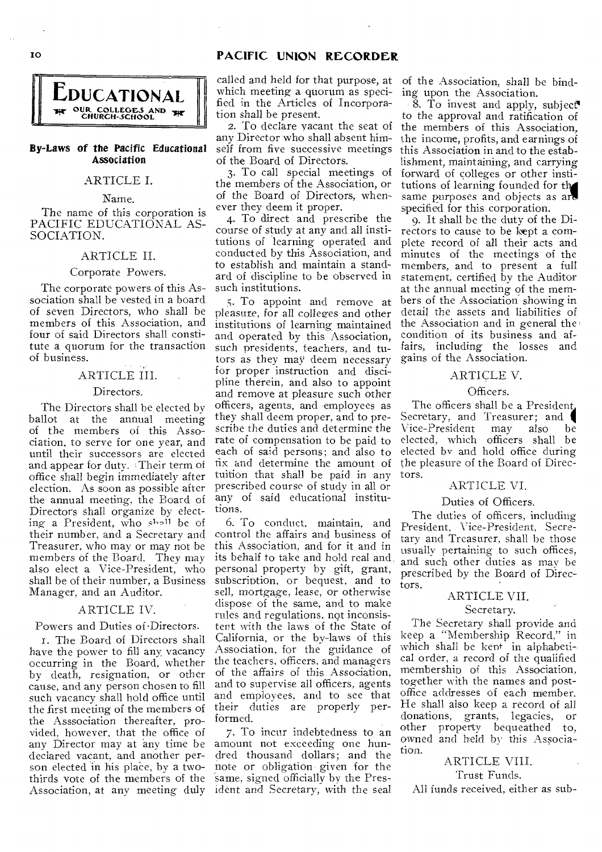## I0 **PACIFIC UNION RECORDER**



## By-Laws of the Pacific Educational Association

## ARTICLE I.

Name.

The name of this corporation is PACIFIC EDUCATIONAL AS-SOCIATION.

## ARTICLE II.

#### Corporate Powers.

The corporate powers of this Association shall be vested in a board of seven Directors, who shall be members of this Association, and four of said Directors shall constitute a quorum for the transaction of business.

## ARTICLE III.

#### Directors.

The Directors shall be elected by ballot at the annual meeting of the members of this Association, to serve for one year, and until their successors are elected and appear for duty. Their term of office shall begin immediately after election. As soon as possible after the annual meeting, the Board of Directors shall organize by electing a President, who shall be of their number, and a Secretary and Treasurer, who may or may not be members of the Board. They may also elect a Vice-President, who shall be of their number, a Business Manager, and an Auditor.

#### ARTICLE IV.

#### Powers and Duties of -Directors.

I. The Board of Directors shall have the power to fill any vacancy occurring in the Board, whether by death, resignation, or other cause, and any person chosen to fill such vacancy shall hold office until the first meeting of the members of the Asssociation thereafter, provided, however, that the office of any Director may at any time be declared vacant, and another person elected in his place, by a twothirds vote of the members of the Association, at any meeting duly

called and held for that purpose, at which meeting a quorum as specified in the Articles of Incorporation shall be present

2. To declare vacant the seat of any Director who shall absent him-. self from five successive meetings of the Board of Directors.

3. To call special meetings of the members of the Association, or of the Board of Directors, whenever they deem it proper.

4. To direct and prescribe the course of study at any and all institutions of learning operated and conducted by this Association, and to establish and maintain a standard of discipline to be observed in such institutions.

5. To appoint and remove at pleasure, for all colleges and other institutions of learning maintained and operated by this Association, such presidents, teachers, and tutors as they may deem necessary for proper instruction and discipline therein, and also to appoint and remove at pleasure such other officers, agents, and employees as they shall deem proper, and to prescribe the duties and determine the rate of compensation to be paid to each of said persons; and also to fix and determine the amount of tuition that shall be paid in any prescribed course of study in all or any of said educational institutions.

6. To conduct, maintain, and control the affairs and business of this Association, and for it and in its behalf to take and hold real and personal property by gift, grant, subscription, or bequest, and to sell, mortgage, lease, or otherwise dispose of the same, and to make rules and regulations, not inconsistent with the laws of the State of California, or the by-laws of this Association, for the guidance of the teachers, officers. and managers of the affairs of this Association, and to supervise all officers, agents and employees, and to see that their duties are properly performed.

7, To incur indebtedness to an amount not exceeding one hundred thousand dollars; and the note or obligation given for the same, signed officially by the President and Secretary, with the seal

of the Association, shall be binding upon the Association.

 $\overline{8}$ . To invest and apply, subject to the approval and ratification of the members of this Association, the income, profits, and earnings of this Association in and to the establishment, maintaining, and carrying forward of colleges or other institutions of learning founded for the same purposes and objects as are specified for this corporation.

9. It shall be the duty of the Directors to cause to be kept a complete record of all their acts and minutes of the meetings of the members, and to present a full statement, certified by the Auditor at the annual meeting of the members of the Association showing in detail the assets and liabilities of the Association and in general the condition of its business and affairs, including the losses and gains of the Association.

#### ARTICLE V.

#### Officers.

The officers shall be a President, Secretary, and Treasurer; and Vice-President may also be Vice-President may also elected, which officers shall be elected by and hold office during the pleasure of the Board of Directors.

## ARTICLE VI.

#### Duties of Officers.

The duties of officers, including President, Vice-President, Secretary and Treasurer, shall be those usually pertaining to such offices, and such other duties as may be prescribed by the Board of Directors.

# ARTICLE VII.

#### Secretary.

The Secretary shall provide and keep a "Membership Record," in which shall be kent in alphabetical order, a record of the qualified membership of this Association, together with the names and postoffice addresses of each member. He shall also keep a record of all donations, grants, legacies, or other property bequeathed to, owned and held by this Association.

## ARTICLE VIII.

Trust Funds.

All funds received, either as sub-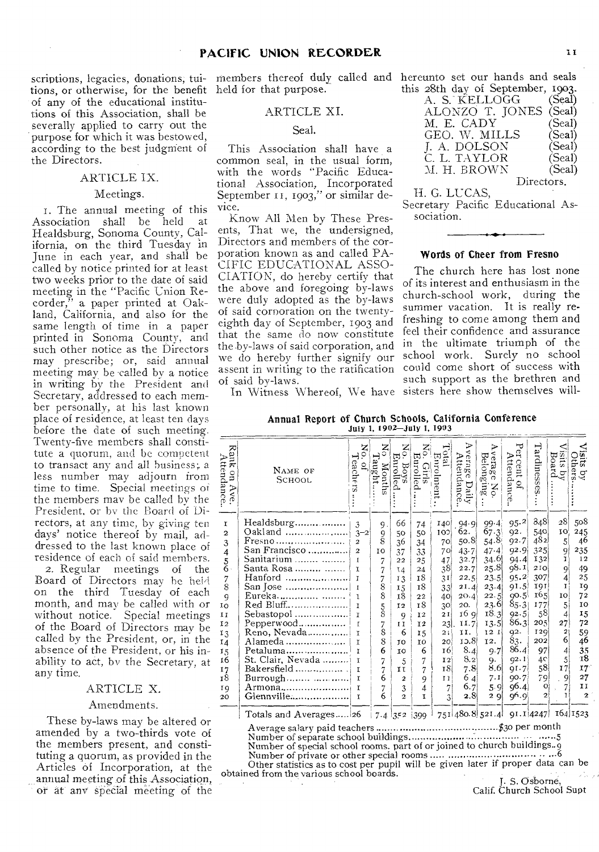scriptions, legacies, donations, tui-members thereof duly called and **hereunto set our hands and seals**  tions, or otherwise, for the benefit held for that purpose. of any of the educational institutions of this Association, shall be severally applied to carry out the purpose for which it was bestowed, according to the best judgment of the Directors.

## ARTICLE IX.

#### Meetings.

t. The annual meeting of this Association shall be held at Healdsburg, Sonoma County, California, on the third Tuesday in June in each year, and shall be called by notice printed for at least two weeks prior to the date of said meeting in the "Pacific Union Recorder," a paper printed at Oakland, California, and also for the same length of time in a paper printed in Sonoma County, and such other notice as the Directors may prescribe; or, said annual meeting may be called by a notice in writing by the President and Secretary, addressed to each member personally, at his last known place of residence, at least ten days before the date of such meeting. Twenty-five members **shall constitute** a quorum, and **be competent**  to transact any **and all business;** a less number **may adjourn from time to** time. Special **meetings of**  the members may be **called by the**  President, or by **the Board of Directors,** at any time, **by giving ten days' notice thereof by mail, addressed** to the last known place **of**  residence of each **of said members.**  2. Regular meetings **of** the

Board of Directors may **he** held on the third Tuesday of each month, and may be called with or without notice. Special meetings of the Board of Directors may be called by the President, or, in the absence of the President, or his inability to act, by the Secretary, at any time.

#### ARTICLE X.

#### Amendments.

These by-laws may be altered or amended by a two-thirds vote of the members present, and constituting a quorum, as provided in the Articles of Incorporation, at the annual meeting of this Association, or at' any special meeting of the

#### ARTICLE XI.

Seal.

This Association shall have a common seal, in the usual form, with the words "Pacific Educational Association, Incorporated September 11, 1903," or similar device.

Know All Men by These Presents, That we, the undersigned, Directors and members of the corporation known as and called PA-CIFIC EDUCATIONAL ASSO-CIATION, do hereby certify that the above and foregoing by-laws were duly adopted as the by-laws of said corporation on the twentyeighth day of September, 1903 and that the same do now constitute the-by-laws of said corporation, and we do hereby further signify our assent in writing to the ratification of said by-laws.

**this 28th day of September, 1903.** 

| A. S. KELLOGG   | (Seal) |
|-----------------|--------|
| ALONZO T. JONES | (Seal) |
| M. E. CADY .    | (Seal) |
| GEO. W. MILLS   | (Seal) |
| J. A. DOLSON    | (Seal) |
| C. L. TAYLOR    | (Seal) |
| M. H. BROWN     | (Scal) |
| Directors.      |        |

#### H. G. LUCAS,

Secretary Pacific Educational Association.

## Words of Cheer from Fresno

The church here has lost none of its interest and enthusiasm in the church-school work, during the summer vacation. It is really refreshing to come among them and feel their confidence and assurance in the ultimate triumph of the school work. Surely no school could come short of success with such support as the brethren and

**In Witness** Whereof, **We have**  sisters here show themselves will-

Annual Report of Church Schools, California Conference July 1, 1902-July 1, 1903

| Rank<br>Attendance<br>$\frac{1}{2}$<br>$\mathcal{P}$<br>δŚ, | NAME OF<br>SCHOOL     | z<br>9.<br>eachers<br>$\overline{a}$ | $_{\rm 5}^{\rm X}$<br>Taught<br>Months | $\sum_{i=1}^{n}$<br>Enrolled<br>Boys | No.<br>Eurolled<br>Girls | Total<br>Enrolment | ゝ<br>verage<br>Attendance.<br>Daily | ₽<br>verage<br>Belonging<br>No | ᠊ᡆ<br>Ğ,<br>Attendance<br>.cent<br>ġ, | Tardinesses      | sus<br>isits by $B$ oard . | sits.<br>bthers<br>्<br>श्र |
|-------------------------------------------------------------|-----------------------|--------------------------------------|----------------------------------------|--------------------------------------|--------------------------|--------------------|-------------------------------------|--------------------------------|---------------------------------------|------------------|----------------------------|-----------------------------|
| r                                                           | Healdsburg            | 3                                    | 9.                                     | 66                                   | 74                       | 140                | 94.9                                | 99.4                           | 95.2                                  | 848              | 28                         | 508                         |
| $\mathbf{z}$                                                | Oakland               | $3 - 2$                              | 9                                      | 50                                   | 50                       | 100                | 62.                                 | 67.3                           | 92.                                   | 540              | 10                         | 245                         |
| 3                                                           | Fresno                | $\overline{a}$                       | 8                                      | 36                                   | 34                       | 70                 | 50.8                                | 54.8                           | 92.7                                  | 482)             | 5                          | 46                          |
| $\overline{4}$                                              | San Francisco         | $\overline{2}$                       | 10                                     | 37                                   | 33                       | 70                 | $43 - 7$                            | 47.4                           | 92.9                                  | 325              | 9                          | 235                         |
|                                                             | Sanitarium            | I                                    | 7                                      | 22                                   | 25                       | 47                 | 32.7                                | 34.6                           | $94 - 4$                              | 132              | ĩ                          | 12                          |
| $\frac{5}{6}$                                               | Santa Rosa            | T                                    | 7                                      | 14                                   | 24                       | 38                 | 22.7                                | 25.8                           | 98.1                                  | 210              | 9i                         | 49                          |
|                                                             | Hanford               | T                                    | 7                                      | 13                                   | 18                       | 3I                 | 22.5                                | 23.5                           | 95.2                                  | 307              | 4                          | 25                          |
| $\frac{7}{8}$                                               | San Jose              | $\mathbf{r}$                         | 8                                      | 15                                   | 18                       | 33                 | 21.4                                | 23.4                           | 91.5                                  | 191              | T                          | I9                          |
| 9                                                           | Eureka                | T                                    | 8                                      | 18                                   | 22                       | 40                 | 20.4                                | 22.5                           | 90.5                                  | 165 <sup>1</sup> | 10                         | 72                          |
| ΙO                                                          | Red Bluff             | I                                    |                                        | 12                                   | 18                       | 30                 | 20.                                 | 23.6                           | 85.3                                  | 177              | 5                          | 10                          |
| II                                                          | Sebastopol            | r                                    | $\frac{5}{8}$                          | 9                                    | 12                       | 2I                 | 16 g                                | 18.3                           | 92.5                                  | 58,              | 4                          | 15                          |
| 12                                                          | Pepperwood            | $\mathbf{r}$                         | 7                                      | $I$ $I$                              | 12                       | 23                 | 11.7                                | 13.5                           | 86.3                                  | 205              | 27                         | 72                          |
| 13                                                          | Reno, Nevada……………     | r                                    | 8                                      | 6                                    | 15                       | 21                 | II.                                 | 12 1                           | 92.                                   | 120              | 2!                         | 59                          |
| 14                                                          | Alameda               | 1                                    | 8                                      | TO                                   | TO.                      | 20                 | 10.8                                | 12.                            | 83.                                   | 202              | 6                          | 46                          |
| 15                                                          | Petaluma              | $\mathbf{I}$                         | 6                                      | IO                                   | 6                        | 16                 | 8.4                                 | 9.7                            | 86.4                                  | 97               | 4                          | 35                          |
| 16                                                          | St. Clair, Nevada     | r                                    | 7                                      | 5                                    | 7                        | 12                 | 8.2                                 | 9.                             | 92.1                                  | 4 <sup>c</sup>   | 5                          | 18                          |
| 17                                                          | Bakersfield           | $\mathbf{I}$                         | 7                                      | ĩΙ                                   | $\overline{7}$           | 18                 | 7.8                                 | 8,6                            | QI.7                                  | 58               | 17                         | 17                          |
| 18                                                          |                       | $\mathbf{r}$                         | 6                                      | 2                                    | 9                        | 11                 | 64                                  | 7.1                            | 90.7                                  | 79               | 9                          | 27                          |
| 19                                                          | Armona                | $\mathbf{r}$                         | 7                                      | 3                                    | 4                        | 7                  | 6.7                                 | 5.9                            | 96.4                                  | $\Omega$         | 7                          | IJ                          |
| 20                                                          | $G$ lennville         | $\mathbf{I}$                         | 6                                      | $\alpha$                             | T.                       | 3                  | 2.8                                 | 29                             | 96.9                                  | $\overline{a}$   | T                          | $\overline{a}$              |
|                                                             | Totals and Averages26 |                                      |                                        | $7.4 \, \text{J}$ 5.2                | 1399                     |                    |                                     |                                | 751 480.8 521.4 91.1 4247             |                  |                            | 164 1523                    |

Average salary paid teachers \$30 per month Number of separate school buildings. 5 Number of special school rooms. part of or joined to church buildings. 9 Number of private or other special rooms 6 Other statistics as to cost per pupil will be given later if proper data can be

obtained from the various school boards. J. S. Osborne,

Calif. Church School Supt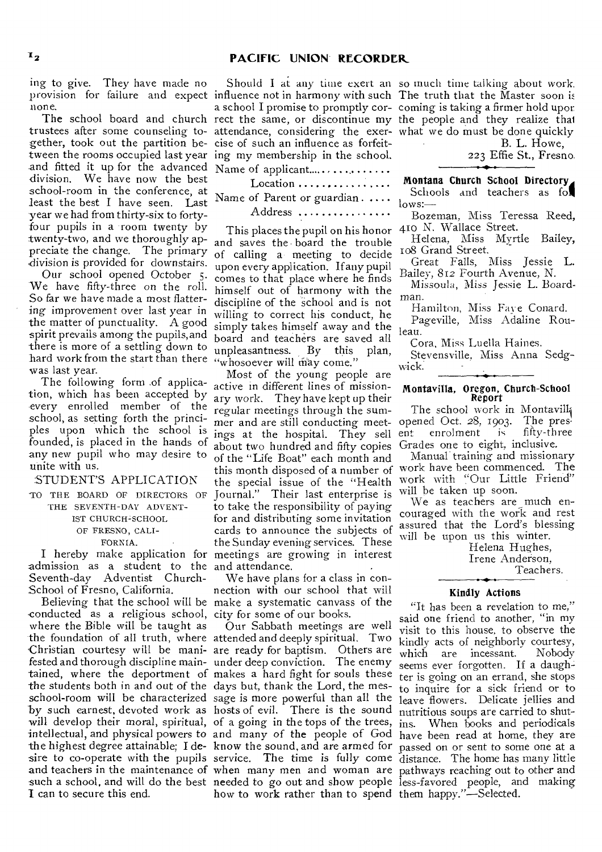ing to give. They have made no provision for failure and expect influence not in harmony with such The truth that the Master soon is none.

trustees after some counseling to- attendance, considering the exer- what we do must be done quickly gether, took out the partition be-cise of such an influence as forfeittween the rooms occupied last year ing my membership in the school. and fitted it up for the advanced Name of applicant. division. We have now the best school-room in the conference, at least the best I have seen. Last year we had from thirty-six to fortyfour pupils in a room twenty by twenty-two, and we thoroughly appreciate the change. The primary division is provided for downstairs.

Our school opened October 5. We have fifty-three on the roll. So far we have made a most flattering improvement over last year in the matter of punctuality. A good spirit prevails among the pupils, and there is more of a settling down to hard work from the start than there "whosoever will may come." was last year.

The following form ,of application, which has been accepted by every enrolled member of the school, as setting forth the principles upon which the school is founded, is placed in the hands of any new pupil who may desire to unite with us.

## STUDENT'S APPLICATION

TO THE BOARD OF DIRECTORS OF THE SEVENTH-DAY ADVENT-IST CHURCH-SCHOOL OF FRESNO, CALI-

## FORNIA.

admission as a student to the and attendance. Seventh-day Adventist Church-School of Fresno, California.

conducted as a religious school, city for some of our books. where the Bible will be taught as 'Christian courtesy will be mani-are ready for baptism. Others are the students both in and out of the days but, thank the Lord, the mes-**I** can to secure this end.

The school board and church rect the same, or discontinue my the people and they realize that Should I at any time exert an so much time talking about work. a school I promise to promptly cor- coming is taking a firmer hold upor

Location ................. Name of Parent or guardian . . . . .

Address ...............

This places the pupil on his honor 410 N. Wallace Street. and saves the • board the trouble of calling a meeting to decide upon every application. If any pupil comes to that place where he finds himself out of harmony with the discipline of the school and is not willing to correct his conduct, he simply takes himself away and the board and teachers are saved all unpleasantness. By this plan,

I hereby make application for meetings are growing in interest Most of the young people are active in different lines of missionary work. They have kept up their regular meetings through the sumregular meetings through the sum-<br>mer and are still conducting meet- opened Oct. 28, 1903. The presings at the hospital. They sell about two hundred and fifty copies of the "Life Boat" each month and this month disposed of a number of work have been commenced. The the special issue of the "Health Journal." Their last enterprise is to take the responsibility of paying for and distributing some invitation cards to announce the subjects of the Sunday evening services. These

Believing that the school will be make a systematic canvass of the We have plans for a class in connection with our school that will

the foundation of all truth, where attended and deeply spiritual. Two fested and thorough discipline main-under deep conviction. The enemy tained, where the deportment of makes a hard fight for souls these school-room will be characterized sage is more powerful than all the leave flowers. Delicate jellies and by such earnest, devoted work as hosts of evil. There is the sound nutritious soups are carried to shutwill develop their moral, spiritual, of a going in the tops of the trees, ins. When books and periodicals intellectual, and physical powers to and many of the people of God have been read at home, they are the highest degree attainable; I de-know the *sound,* and are armed for passed on or sent to some one at a sire to co-operate with the pupils service. The time is fully come distance. The home has many little and teachers in the maintenance of when many men and woman are pathways reaching out to other and such a school, and will do the best needed to go out and show people less-favored people, and making Our Sabbath meetings are well how to work rather than to spend them happy."—Selected.

B. L. Howe,

223 Effie St., Fresno.

Montana Church School Directory 4 Schools and teachers as fol lows:—

Bozeman, Miss Teressa Reed,

Helena, Miss Myrtle Bailey, 108 Grand Street.

Great Falls, Miss Jessie L. Bailey, 812 Fourth Avenue, N.

Missoula, Miss Jessie L. Boardman.

Hamilton, Miss Faye Conard.

Pageville, Miss Adaline Rouieau.

Cora, Miss Luella Haines.

Stevensville, Miss Anna Sedgwick.

#### Montavilla, Oregon, Church-School Report

ent enrolment is fifty-three Grades one to eight, inclusive.

Manual.training and missionary work with "Our Little Friend" will be taken up soon.

We as teachers are much encouraged with the work and rest assured that the Lord's blessing will be upon us this winter.

Helena Hughes, Irene Anderson, Teachers.

#### Kindly Actions

"It has been a revelation to me," said one friend to another, "in my visit to this house, to observe the kindly acts of neighborly courtesy,<br>which are incessant. Nobody which are incessant. seems ever forgotten. If a daughter is going on an errand, she stops to inquire for a sick friend or to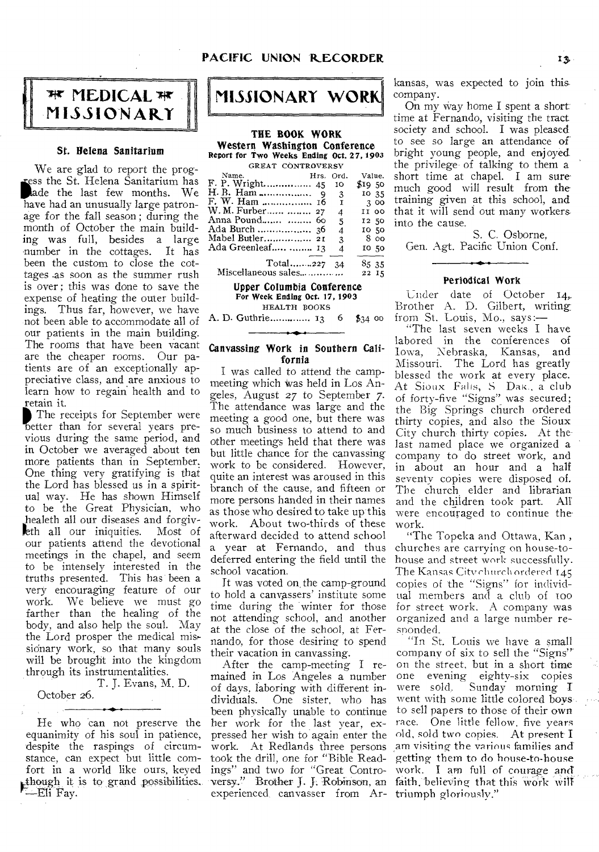

#### St. Helena Sanitarium

We are glad to report the progade the last few months. We ss the St. Helena Sanitarium has have had an unusually large patronage for the fall season ; during the month of October the main building was full, besides a large -number in the cottages. It has been the custom to close the cottages -as soon as the summer rush is over ; this was done to save the expense of heating the outer buildings. Thus far, however, we have not been able to accommodate all of our patients in the main building. The rooms that have been vacant are the cheaper rooms. Our patients are of an exceptionally appreciative class, and are anxious to learn how to regain health and to retain it.

The receipts for September were better than for several years previous during the same period, and in October we averaged about ten more patients than in September. One thing very gratifying is that the Lord has blessed us in a spiritual way. He has shown Himself to be the Great Physician, who .healeth all our diseases and forgiveth all our iniquities. Most of our patients attend the devotional meetings in the chapel, and seem to be intensely interested in the truths presented. This has been a very encouraging feature of our work. We believe we must go farther than the healing of the body, and also help the soul. May the Lord prosper the medical mis, sidnary work, so that many souls will be brought into the kingdom through its instrumentalities.

T. J. Evans, M. D. October 26.

## He who can not preserve the equanimity of his soul in patience, despite the raspings of circumstance, can expect but little comfort in a world like ours, keyed though it is to grand possibilities.  $-Eli$  Fay.



THE BOOK WORK Western Washington Conference Report for Two Weeks Ending Oct. 27, 1903

| GREAT CONTROVERSY   |  |              |          |  |  |  |  |
|---------------------|--|--------------|----------|--|--|--|--|
| Name.               |  | Hrs. Ord.    | Value.   |  |  |  |  |
| F. P. Wright 45     |  | 10           | \$1950   |  |  |  |  |
|                     |  | -3           | 10 35    |  |  |  |  |
| F. W. Ham  16       |  | $\mathbf{I}$ | 300      |  |  |  |  |
| W. M. Furber  27    |  | 4            | II OO    |  |  |  |  |
| Anna Pound  60      |  | .5           | 12 50    |  |  |  |  |
|                     |  | 4            | 10 50    |  |  |  |  |
| Mabel Butler 21     |  | 3            | $8$ $00$ |  |  |  |  |
| Ada Greenleaf  13   |  | 4            | 10.50    |  |  |  |  |
| $Total$ 227         |  | 34           | 85 35    |  |  |  |  |
| Miscellaneous sales |  |              | 22 15    |  |  |  |  |

Upper Columbia Conference For Week Ending Oct. 17, 1903 HEALTH EOOKS

A. D. Guthrie 13 6 \$34 00

#### Canvassing Work in Southern California

I was called to attend the campmeeting which was held in Los Angeles, August 27 to September 7. The attendance was large and the meeting a good one, but there was so much business to attend to and other meetings held that there was but little chance for the canvassing work to be considered. However, quite an interest was aroused in this branch of the cause, and fifteen or more persons handed in their names as those who desired to take up this work. About two-thirds of these afterward decided to attend school a year at Fernando, and thus deferred entering the field until the school vacation.

It was voted on the camp-ground to hold a canvassers' institute some time during the winter for those not attending school, and another at the close of the school, at Fernando, for those desiring to spend their vacation in canvassing.

After the camp-meeting I remained in Los Angeles a number of days, laboring with different in-One sister, who has been physically unable to continue her work for the last year, expressed her wish to again enter the ings" and two for "Great Controversy." Brother J. J. Robinson, an faith, believing that this work experienced canvasser from Ar-triumph gloriously."

kansas, was expected to join this company.

On my way home I spent a short time at Fernando, visiting the tract society and school. I was pleased to see so large an attendance of bright young people, and enjoyed the privilege of talking to them a short time at chapel. I am sure much good will result from the training given at this school, and that it will send out many workers into the cause.

S. C. Osborne, Gen. Agt. Pacific Union Conf.

#### Periodical Work

Under date of October 14, Brother A. D. Gilbert, writing from St. Louis, Mo., says:—

"The last seven weeks I have labored in the conferences of Iowa, Nebraska, Kansas, and Missouri. The Lord has greatly blessed the work at every place. At Sioux Falls, S Dak., a club of forty-five "Signs" was secured; the Big Springs church ordered thirty copies, and also the Sioux City church thirty copies. At the last named place we organized a company to do street work, and in about an hour and a half seventy copies were disposed of. The church elder and librarian and the children took part. All were encouraged to continue the work.

"The Topeka and Ottawa, Kan , churches are carrying on house-tohouse and street work successfully. The Kansas Citychnrch ordered 14.5 copies of the "Signs" for individual members and a club of TOO for street work. A company was organized and a large number responded.

work. At Redlands three persons am visiting the various families and took the drill, one for "Bible Read-getting them to do house-to-house "In St. Louis we have a small company of six to sell the "Signs"' on the street, but in a short time one evening eighty-six copies were sold, Sunday morning I. went with some little colored boys, to sell papers to those of their own race. One little fellow, five years old, sold two copies. At present I work. I am full of courage and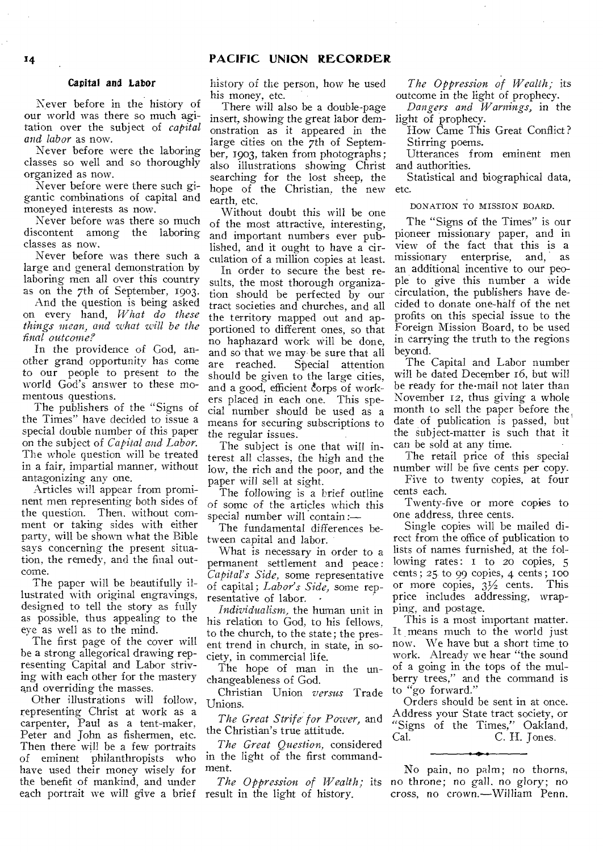## **<sup>1</sup>4 PACIFIC UNION RECORDER**

## Capital and Labor

Never before in the history of our world was there so much agitation over the subject of *capital and labor* as now.

Never before were the laboring classes so well and so thoroughly organized as now.

Never before were there such gigantic combinations of capital and moneyed interests as now.

Never before was there so much discontent among the laboring classes as now.

Never before was there such a large and general demonstration by laboring men all over this country as on the 7th of September, 1903.

And the question is being asked on every hand, *What do these things mean, and what will be the final outcome?* 

In the providence of God, another grand opportunity has come to our people to present to the world God's answer to these momentous questions.

The publishers of the "Signs of the Times" have decided to issue a special double number of this paper on the subject of *Capital and Labor.*  The whole question will be treated in a fair, impartial manner, without antagonizing any one.

Articles will appear from prominent men representing both sides of the question. Then, without comment or taking sides with either party, will be shown what the Bible says concerning the present situation, the remedy, and the final outcome.

The paper will be beautifully illustrated with original engravings, designed to tell the story as fully as possible, thus appealing to the eye as well as to the mind.

The first page of the cover will he a strong allegorical drawing representing Capital and Labor striving with each other for the mastery and overriding the masses.

Other illustrations will follow, representing Christ at work as a carpenter, Paul as a tent-maker, Peter and John as fishermen, etc. Then there will be a few portraits of eminent philanthropists who have used their money wisely for the benefit of mankind, and under each portrait we will give a brief result in the light of history.

history of the person, how he used his money, etc.

There will also be a double-page insert, showing the great labor demonstration as it appeared in the large cities on the 7th of September, 1903, taken from photographs ; also illustrations showing Christ searching for the lost sheep, the hope of the Christian, the new earth, etc.

Without doubt this will be one of the most attractive, interesting, and important numbers ever published, and it ought to have a circulation of a million copies at least.

In order to secure the best results, the most thorough organization should be perfected by our tract societies and churches, and all the territory mapped out and apportioned to different ones, so that no haphazard work will be done, and so that we may be sure that all<br>are reached. Special attention Special attention should be given to the large cities, and a good, efficient corps of workers placed in each one. This special number should be used as a means for securing subscriptions to the regular issues.

The subject is one that will interest all classes, the high and the low, the rich and the poor, and the paper will sell at sight.

The following is a brief outline of *some* of the articles which this special number will contain :—

The fundamental differences between capital and labor.

What is necessary in order to a permanent settlement and peace : *Capital's Side,* some representative of capital; *Labor's Side,* some representative of labor.

*Individualism,* the human unit in his relation to God, to his fellows, to the church, to the state; the present trend in church, in state, in society, in commercial life.

The hope of man in the unchangeableness of God.

Christian Union *versus* Trade Unions.

*The Great Strife for Power,* and the Christian's true attitude.

*The Great Question,* considered in the light of the first commandment.

*The Oppression of Wealth;* its

*The Oppression of Wealth;* its outcome in the light of prophecy.

*Dangers and Warnings,* in the light of prophecy.

How Came This Great Conflict? Stirring poems.

Utterances from eminent men and authorities.

Statistical and biographical data, etc.

#### DONATION TO MISSION BOARD.

The "Signs of the Times" is our pioneer missionary paper, and in view of the fact that this is a missionary enterprise, and, as an additional incentive to our people to give this number a wide circulation, the publishers have decided to donate one-half of the net profits on this special issue to the Foreign Mission Board, to be used in carrying the truth to the regions beyond.

The Capital and Labor number will be dated December 16, but will be ready for the-mail not later than November 12, thus giving a whole month to sell the paper before the date of publication is passed, but the subject-matter is such that it can be sold at any time.

The retail price of this special number will be five cents per copy.

Five to twenty copies, at four cents each.

Twenty-five or more copies to one address, three cents.

Single copies will be mailed direct from the office of publication to lists of names furnished, at the following rates: I to 20 copies, 5 cents; 25 to 99 copies, 4 cents; 100<br>or more copies,  $3\frac{1}{2}$  cents. This price includes addressing, wrapping, and postage.

This is a most important matter. It means much to the world just now. We have but a short time to work. Already we hear "the sound of a going in the tops of the mulberry trees," and the command is to "go forward."

Orders should be sent in at once. Address your State tract society, or "Signs of the Times," Oakland, Cal. C. H. Jones.

No pain, no palm; no thorns, no throne; no gall. no glory; no cross, no *crown.—William* Penn.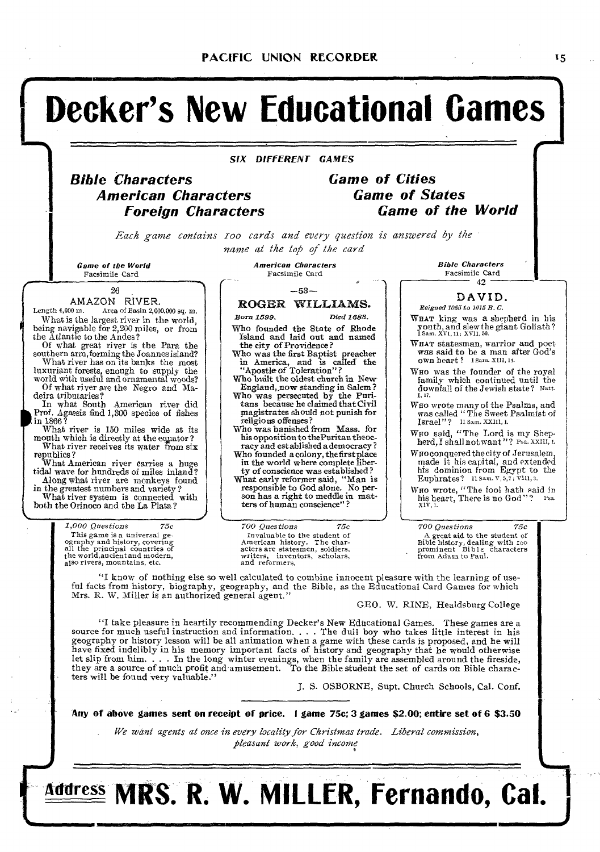# **Decker's New Educational Games**

**SIX DIFFERENT GAMES** 

# **Bible Characters American Characters Foreign Characters**

**Game of Cities Game of States Game of the World** 

*Each game contains roo cards and every question is answered by the name at the top of the card* 

Game of the World Facsimile Card

I

**I**

26

# AMAZON RIVER.<br>Length 4,000 m. Area of Basin 2,00

Area of Basin 2,000,000 sq. m. What is the largest river in the world, being navigable for 2,200 miles, or from the Atlantic to the Andes?

Of what great river is the Para the southern arm,forming the Joannes island? What river has on its banks the most

luxuriant forests, enough to supply the world with useful and ornamental woods?

Of what river are the Negro and Ma-

deira tributaries?<br>
In what South American river did<br>
Prof. Agassiz find 1,300 species of fishes<br>
in 1866? P

What river is 150 miles wide at its mouth which is directly at the eqpator ? What river receives its water from six

republics ? What American river carries a huge tidal wave for hundreds of miles inland? Along what river are monkeys found

in the greatest numbers and variety ? What river system is connected with both the Orinoco and the La Plata?

> *1,000 Questions 75c*  This game is a universal geography and history, covering all the principal countries of the world,ancient and modern, also rivers, mountains, etc.

American Characters Facsimile Card

## --53 **— ROGER WILLIAMS.**

*Born 1599. Died 1688.* 

Who founded the State of Rhode Island and laid out and named the city of Providence ?

Who was the first Baptist preacher<br>in America, and is called the<br>"Apostle of Toleration"?

Who built the oldest church in New-England, now standing in Salem? Who was persecuted by the Puri-tans because he claimed thateivil magistrates should not punish for

religious offenses? Who was banished from Mass. for his opposition to thePuritan theocracy and established a democracy ?

Who founded a colony, the first place in the world where complete liber-

ty of conscience was established ? What early reformer said, "Man is

responsible to God alone. No person has a right to meddle in matters of human conscience'

writers, inventors, scholars, from Adam to Paul.<br>and reformers.

Bible Characters Facsimile Card 42

## **DAVID.**

Reigned 1055 to 1015 B. C.

- WHAT king was a shepherd in his youth, and slew the giant Goliath?<br>I Sam. XVI, 11; XVII, 50.
- WHAT statesman, warrior and poet was said to be a man after God's own heart? 1 sam. XIII, 14.
- Wno was the founder of the royal family which continued until the downfall of the Jewish state? matt. I, 17.
- Who wrote many of the Psalms, and<br>was called "The Sweet Psalmist of<br>Israel"? II Sam, XXIII, 1.

Who said, "The Lord is my Shepherd, I shall not want"? Psa. XXIII, 1.

WHO conquered the city of Jerusalem,<br>
made it his capital, and extended<br>
his dominion from Egypt to the<br>
Euphrates? 11 Sam. V, 5, 7, VIII, 3.

Who wrote, "The fool hath said in<br>his heart, There is no God"? Psa.  $XIV, 1$ 

*700 Questions 75c 700 Questions 75c*  Invaluable to the student of A great aid to the student of American history, dealing with roo and American history, and a defense of the student of acters are statesmen, soldiers, prominent Bible characters

"I know of nothing else so well calculated to combine innocent pleasure with the learning of useful facts from history, biography, geography, and the Bible, as the Educational Card Games for which Mrs. R. W. Miller is an authorized general agent."

GEO. W. RINE, Healdsburg College

"I take pleasure in heartily recommending Decker's New Educational Games. These games are a source for much useful instruction and information. . . . The dull boy who takes little interest in his geography or history lesson will be all animation when a game with these cards is proposed, and he will have fixed indelibly in his memory important facts of history and geography that he would otherwise let slip from him. . . . In the long winter evenings, when the family are assembled around the fireside, they are a source of much profit and amusement. To the Bible student the set of cards on Bible characters will be found very valuable."

*J. S.* OSBORNE, Supt. Church Schools, Cal. Conf.

**Any of above games sent on receipt of price. I game 75c; 3 games \$2.00; entire set of 6 \$3.50** 

*We want agents at once in every locality for Christmas trade. Liberal commission, pleasant work, good income*